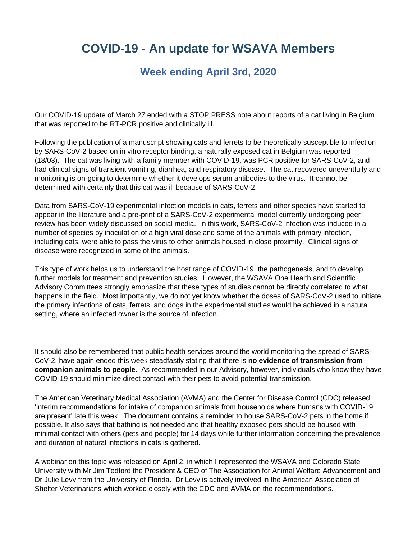## **COVID-19 - An update for WSAVA Members**

## **Week ending April 3rd, 2020**

Our COVID-19 update of March 27 ended with a STOP PRESS note about reports of a cat living in Belgium that was reported to be RT-PCR positive and clinically ill.

Following the publication of a manuscript showing cats and ferrets to be theoretically susceptible to infection by SARS-CoV-2 based on in vitro receptor binding, a naturally exposed cat in Belgium was reported (18/03). The cat was living with a family member with COVID-19, was PCR positive for SARS-CoV-2, and had clinical signs of transient vomiting, diarrhea, and respiratory disease. The cat recovered uneventfully and monitoring is on-going to determine whether it develops serum antibodies to the virus. It cannot be determined with certainly that this cat was ill because of SARS-CoV-2.

Data from SARS-CoV-19 experimental infection models in cats, ferrets and other species have started to appear in the literature and a pre-print of a SARS-CoV-2 experimental model currently undergoing peer review has been widely discussed on social media. In this work, SARS-CoV-2 infection was induced in a number of species by inoculation of a high viral dose and some of the animals with primary infection, including cats, were able to pass the virus to other animals housed in close proximity. Clinical signs of disease were recognized in some of the animals.

This type of work helps us to understand the host range of COVID-19, the pathogenesis, and to develop further models for treatment and prevention studies. However, the WSAVA One Health and Scientific Advisory Committees strongly emphasize that these types of studies cannot be directly correlated to what happens in the field. Most importantly, we do not yet know whether the doses of SARS-CoV-2 used to initiate the primary infections of cats, ferrets, and dogs in the experimental studies would be achieved in a natural setting, where an infected owner is the source of infection.

It should also be remembered that public health services around the world monitoring the spread of SARS-CoV-2, have again ended this week steadfastly stating that there is **no evidence of transmission from companion animals to people**. As recommended in our Advisory, however, individuals who know they have COVID-19 should minimize direct contact with their pets to avoid potential transmission.

The American Veterinary Medical Association (AVMA) and the Center for Disease Control (CDC) released 'interim recommendations for intake of companion animals from households where humans with COVID-19 are present' late this week. The document contains a reminder to house SARS-CoV-2 pets in the home if possible. It also says that bathing is not needed and that healthy exposed pets should be housed with minimal contact with others (pets and people) for 14 days while further information concerning the prevalence and duration of natural infections in cats is gathered.

A webinar on this topic was released on April 2, in which I represented the WSAVA and Colorado State University with Mr Jim Tedford the President & CEO of The Association for Animal Welfare Advancement and Dr Julie Levy from the University of Florida. Dr Levy is actively involved in the American Association of Shelter Veterinarians which worked closely with the CDC and AVMA on the recommendations.